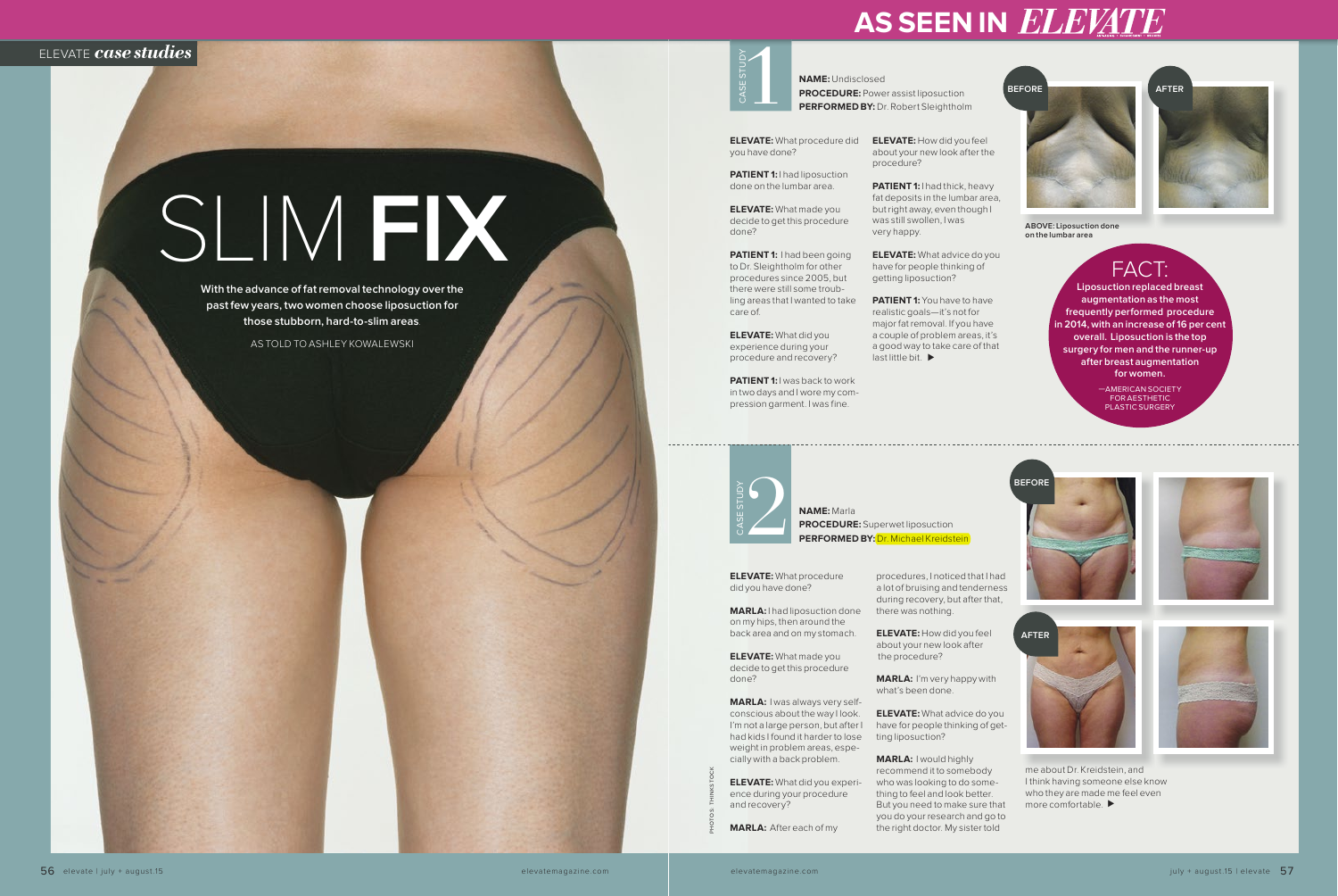**PROCEDURE:** Superwet liposuction **PERFORMED BY: Dr. Michael Kreidstein** 

#### **NAME:** Undisclosed **PROCEDURE:** Power assist liposuction **PERFORMED BY:** Dr. Robert Sleightholm





CASE STUDY

**ELEVATE:** What procedure did you have done?

**PATIENT 1:** I had liposuction

**PATIENT 1:** I had been going to Dr. Sleightholm for other procedures since 2005, but there were still some troubling areas that I wanted to take care of.

done on the lumbar area.

**PATIENT 1:** I was back to work in two days and I wore my compression garment. I was fine.

**ELEVATE:** What made you decide to get this procedure done?

**PATIENT 1:** I had thick, heavy fat deposits in the lumbar area, but right away, even though I was still swollen, I was very happy.

**ELEVATE:** What did you experience during your procedure and recovery? **ELEVATE:** How did you feel about your new look after the procedure?

**ELEVATE:** What advice do you have for people thinking of getting liposuction?

**ELEVATE:** What advice do you have for people thinking of getting liposuction?

**PATIENT 1:** You have to have realistic goals—it's not for major fat removal. If you have a couple of problem areas, it's a good way to take care of that last little bit.

> more comfortable. ▶ me about Dr. Kreidstein, and I think having someone else know who they are made me feel even

**ELEVATE:** What procedure did you have done?

**MARLA:** I had liposuction done on my hips, then around the back area and on my stomach.

—AMERICAN SOCIETY FOR AESTHETIC PLASTIC SURGERY

**ELEVATE:** What made you decide to get this procedure done?

**MARLA:** I was always very selfconscious about the way I look. I'm not a large person, but after I had kids I found it harder to lose weight in problem areas, especially with a back problem.

**ELEVATE:** What did you experience during your procedure and recovery?

**MARLA:** After each of my

procedures, I noticed that I had a lot of bruising and tenderness during recovery, but after that, there was nothing.

**ELEVATE:** How did you feel about your new look after the procedure?

**MARLA:** I'm very happy with what's been done.

**MARLA:** I would highly recommend it to somebody who was looking to do something to feel and look better. But you need to make sure that you do your research and go to the right doctor. My sister told















**Liposuction replaced breast augmentation as the most frequently performed procedure in 2014, with an increase of 16 per cent overall. Liposuction is the top surgery for men and the runner-up after breast augmentation for women.**

PHOTOS: THINKSTOCK



**ABOVE: Liposuction done on the lumbar area**

# **AS SEEN IN ELEVATE**

## ELEVATE *case studies*

# SLIM **FIX**

**With the advance of fat removal technology over the past few years, two women choose liposuction for those stubborn, hard-to-slim areas**.

AS TOLD TO ASHLEY KOWALEWSKI